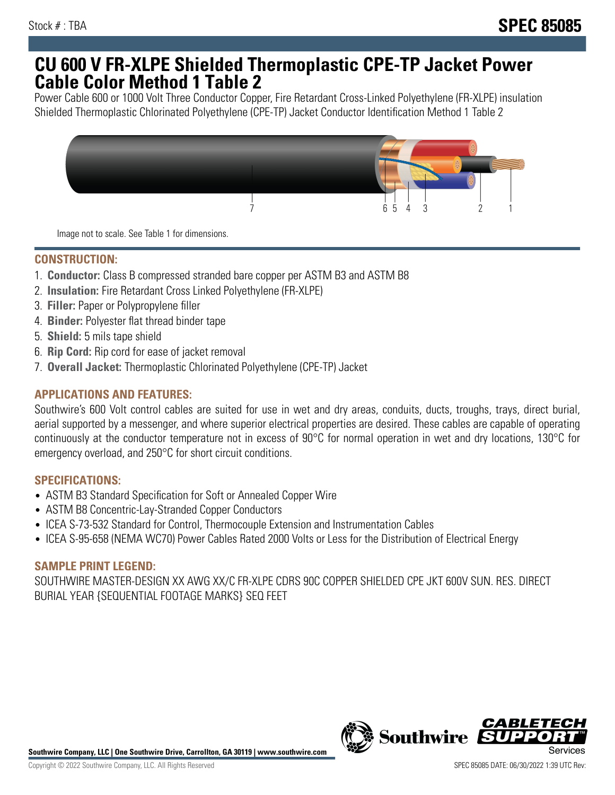## **CU 600 V FR-XLPE Shielded Thermoplastic CPE-TP Jacket Power Cable Color Method 1 Table 2**

Power Cable 600 or 1000 Volt Three Conductor Copper, Fire Retardant Cross-Linked Polyethylene (FR-XLPE) insulation Shielded Thermoplastic Chlorinated Polyethylene (CPE-TP) Jacket Conductor Identification Method 1 Table 2



Image not to scale. See Table 1 for dimensions.

## **CONSTRUCTION:**

- 1. **Conductor:** Class B compressed stranded bare copper per ASTM B3 and ASTM B8
- 2. **Insulation:** Fire Retardant Cross Linked Polyethylene (FR-XLPE)
- 3. **Filler:** Paper or Polypropylene filler
- 4. **Binder:** Polyester flat thread binder tape
- 5. **Shield:** 5 mils tape shield
- 6. **Rip Cord:** Rip cord for ease of jacket removal
- 7. **Overall Jacket:** Thermoplastic Chlorinated Polyethylene (CPE-TP) Jacket

## **APPLICATIONS AND FEATURES:**

Southwire's 600 Volt control cables are suited for use in wet and dry areas, conduits, ducts, troughs, trays, direct burial, aerial supported by a messenger, and where superior electrical properties are desired. These cables are capable of operating continuously at the conductor temperature not in excess of 90°C for normal operation in wet and dry locations, 130°C for emergency overload, and 250°C for short circuit conditions.

#### **SPECIFICATIONS:**

- ASTM B3 Standard Specification for Soft or Annealed Copper Wire
- ASTM B8 Concentric-Lay-Stranded Copper Conductors
- ICEA S-73-532 Standard for Control, Thermocouple Extension and Instrumentation Cables
- ICEA S-95-658 (NEMA WC70) Power Cables Rated 2000 Volts or Less for the Distribution of Electrical Energy

#### **SAMPLE PRINT LEGEND:**

SOUTHWIRE MASTER-DESIGN XX AWG XX/C FR-XLPE CDRS 90C COPPER SHIELDED CPE JKT 600V SUN. RES. DIRECT BURIAL YEAR {SEQUENTIAL FOOTAGE MARKS} SEQ FEET